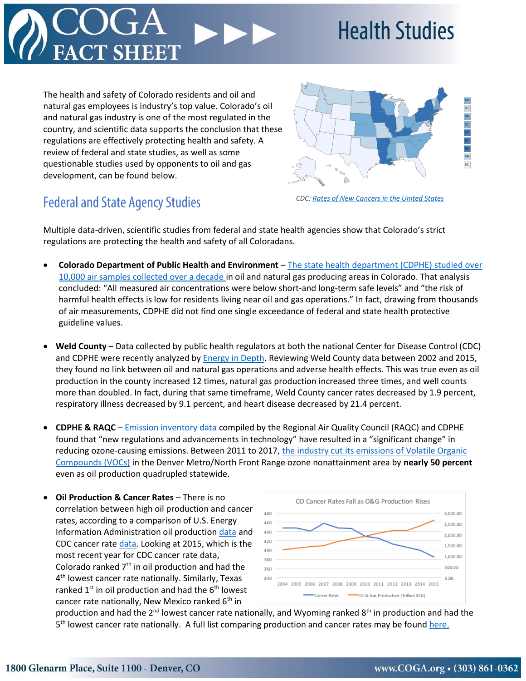

**Health Studies** 

The health and safety of Colorado residents and oil and natural gas employees is industry's top value. Colorado's oil and natural gas industry is one of the most regulated in the country, and scientific data supports the conclusion that these regulations are effectively protecting health and safety. A review of federal and state studies, as well as some questionable studies used by opponents to oil and gas development, can be found below.



## **Federal and State Agency Studies**

*CDC: [Rates of New Cancers in the United States](https://gis.cdc.gov/cancer/USCS/DataViz.html)*

Multiple data-driven, scientific studies from federal and state health agencies show that Colorado's strict regulations are protecting the health and safety of all Coloradans.

- **Colorado Department of Public Health and Environment** [The state health department \(CDPHE\) studied over](https://www.colorado.gov/pacific/cdphe/oil-and-gas-health-assessment)  [10,000 air samples](https://www.colorado.gov/pacific/cdphe/oil-and-gas-health-assessment) collected over a decade in oil and natural gas producing areas in Colorado. That analysis concluded: "All measured air concentrations were below short-and long-term safe levels" and "the risk of harmful health effects is low for residents living near oil and gas operations." In fact, drawing from thousands of air measurements, CDPHE did not find one single exceedance of federal and state health protective guideline values.
- **Weld County** Data collected by public health regulators at both the national Center for Disease Control (CDC) and CDPHE were recently analyzed by [Energy in Depth.](https://eidhealth.org/wp-content/uploads/2018/03/Weld-County-Health-Report.pdf) Reviewing Weld County data between 2002 and 2015, they found no link between oil and natural gas operations and adverse health effects. This was true even as oil production in the county increased 12 times, natural gas production increased three times, and well counts more than doubled. In fact, during that same timeframe, Weld County cancer rates decreased by 1.9 percent, respiratory illness decreased by 9.1 percent, and heart disease decreased by 21.4 percent.
- **CDPHE & RAQC** [Emission inventory data](https://raqc.egnyte.com/dl/Kk5jSAclAm/TSD_2011-2017_Oil%26GasEI.pdf_) compiled by the Regional Air Quality Council (RAQC) and CDPHE found that "new regulations and advancements in technology" have resulted in a "significant change" in reducing ozone-causing emissions. Between 2011 to 2017, [the industry cut its emissions of Volatile Organic](http://www.coga.org/ozone/)  [Compounds \(VOCs\)](http://www.coga.org/ozone/) in the Denver Metro/North Front Range ozone nonattainment area by **nearly 50 percent** even as oil production quadrupled statewide.
- **Oil Production & Cancer Rates** There is no correlation between high oil production and cancer rates, according to a comparison of U.S. Energy Information Administration oil production [data](https://www.eia.gov/dnav/pet/pet_crd_crpdn_adc_mbbl_a.htm) and CDC cancer rat[e data.](https://gis.cdc.gov/cancer/USCS/DataViz.html) Looking at 2015, which is the most recent year for CDC cancer rate data, Colorado ranked  $7<sup>th</sup>$  in oil production and had the 4 th lowest cancer rate nationally. Similarly, Texas ranked  $1<sup>st</sup>$  in oil production and had the  $6<sup>th</sup>$  lowest cancer rate nationally, New Mexico ranked  $6<sup>th</sup>$  in



production and had the 2<sup>nd</sup> lowest cancer rate nationally, and Wyoming ranked 8<sup>th</sup> in production and had the 5<sup>th</sup> lowest cancer rate nationally. A full list comparing production and cancer rates may be foun[d here.](http://www.coga.org/wp-content/uploads/2019/02/Health-Fact-Sheet-US-Cancer-Rates-and-Oil-Production-Data-2015-updated-2-18-19.xlsx)